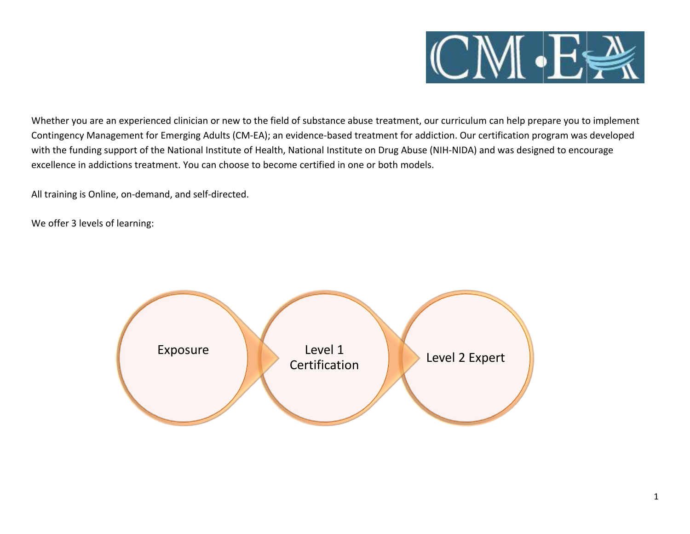

Whether you are an experienced clinician or new to the field of substance abuse treatment, our curriculum can help prepare you to implement Contingency Management for Emerging Adults (CM-EA); an evidence-based treatment for addiction. Our certification program was developed with the funding support of the National Institute of Health, National Institute on Drug Abuse (NIH-NIDA) and was designed to encourage excellence in addictions treatment. You can choose to become certified in one or both models.

All training is Online, on-demand, and self-directed.

We offer 3 levels of learning:

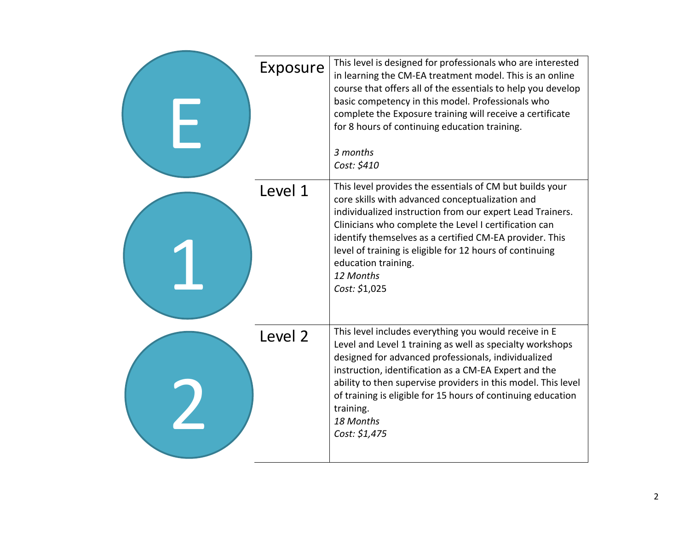| Exposure | This level is designed for professionals who are interested<br>in learning the CM-EA treatment model. This is an online<br>course that offers all of the essentials to help you develop<br>basic competency in this model. Professionals who<br>complete the Exposure training will receive a certificate<br>for 8 hours of continuing education training.                                                     |
|----------|----------------------------------------------------------------------------------------------------------------------------------------------------------------------------------------------------------------------------------------------------------------------------------------------------------------------------------------------------------------------------------------------------------------|
|          | 3 months<br>Cost: \$410                                                                                                                                                                                                                                                                                                                                                                                        |
| Level 1  | This level provides the essentials of CM but builds your<br>core skills with advanced conceptualization and<br>individualized instruction from our expert Lead Trainers.<br>Clinicians who complete the Level I certification can<br>identify themselves as a certified CM-EA provider. This<br>level of training is eligible for 12 hours of continuing<br>education training.<br>12 Months<br>Cost: \$1,025  |
| Level 2  | This level includes everything you would receive in E<br>Level and Level 1 training as well as specialty workshops<br>designed for advanced professionals, individualized<br>instruction, identification as a CM-EA Expert and the<br>ability to then supervise providers in this model. This level<br>of training is eligible for 15 hours of continuing education<br>training.<br>18 Months<br>Cost: \$1,475 |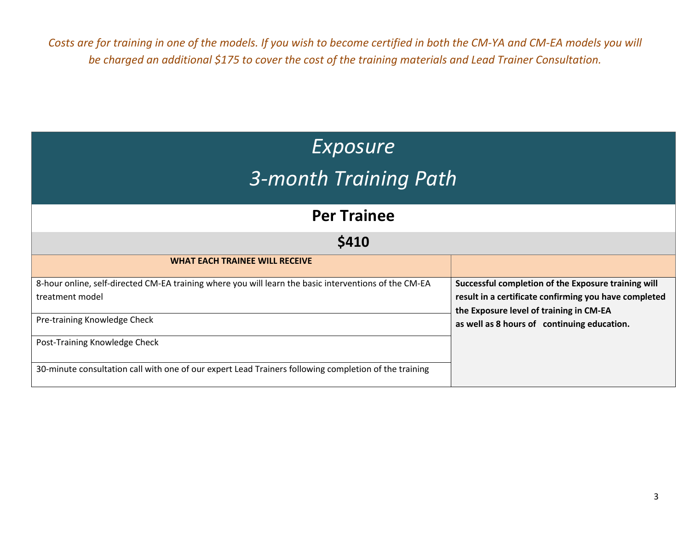*Costs are for training in one of the models. If you wish to become certified in both the CM-YA and CM-EA models you will be charged an additional \$175 to cover the cost of the training materials and Lead Trainer Consultation.* 

| Exposure<br>3-month Training Path                                                                                        |                                                                                                                                                         |  |  |  |
|--------------------------------------------------------------------------------------------------------------------------|---------------------------------------------------------------------------------------------------------------------------------------------------------|--|--|--|
| <b>Per Trainee</b>                                                                                                       |                                                                                                                                                         |  |  |  |
| \$410                                                                                                                    |                                                                                                                                                         |  |  |  |
| <b>WHAT EACH TRAINEE WILL RECEIVE</b>                                                                                    |                                                                                                                                                         |  |  |  |
| 8-hour online, self-directed CM-EA training where you will learn the basic interventions of the CM-EA<br>treatment model | Successful completion of the Exposure training will<br>result in a certificate confirming you have completed<br>the Exposure level of training in CM-EA |  |  |  |
| Pre-training Knowledge Check                                                                                             | as well as 8 hours of continuing education.                                                                                                             |  |  |  |
| Post-Training Knowledge Check                                                                                            |                                                                                                                                                         |  |  |  |
| 30-minute consultation call with one of our expert Lead Trainers following completion of the training                    |                                                                                                                                                         |  |  |  |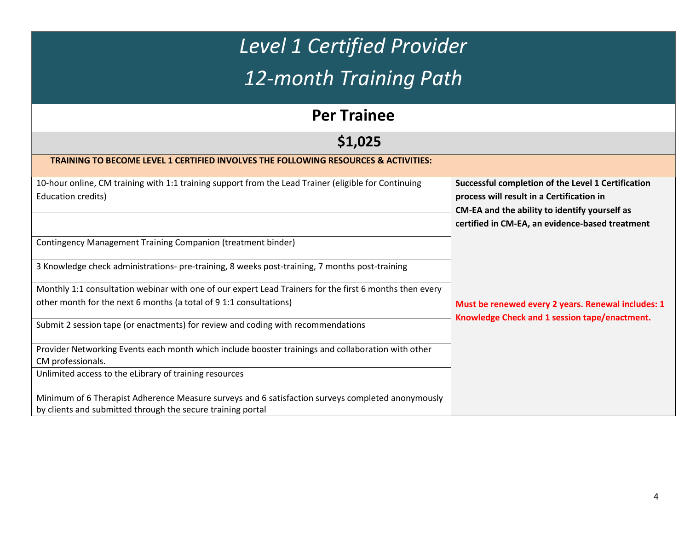| <b>Level 1 Certified Provider</b><br>12-month Training Path                                                                                                                   |                                                                                                                                                                                                     |  |  |  |
|-------------------------------------------------------------------------------------------------------------------------------------------------------------------------------|-----------------------------------------------------------------------------------------------------------------------------------------------------------------------------------------------------|--|--|--|
| <b>Per Trainee</b>                                                                                                                                                            |                                                                                                                                                                                                     |  |  |  |
| \$1,025                                                                                                                                                                       |                                                                                                                                                                                                     |  |  |  |
| <b>TRAINING TO BECOME LEVEL 1 CERTIFIED INVOLVES THE FOLLOWING RESOURCES &amp; ACTIVITIES:</b>                                                                                |                                                                                                                                                                                                     |  |  |  |
| 10-hour online, CM training with 1:1 training support from the Lead Trainer (eligible for Continuing<br><b>Education credits)</b>                                             | Successful completion of the Level 1 Certification<br>process will result in a Certification in<br>CM-EA and the ability to identify yourself as<br>certified in CM-EA, an evidence-based treatment |  |  |  |
| Contingency Management Training Companion (treatment binder)                                                                                                                  |                                                                                                                                                                                                     |  |  |  |
| 3 Knowledge check administrations- pre-training, 8 weeks post-training, 7 months post-training                                                                                |                                                                                                                                                                                                     |  |  |  |
| Monthly 1:1 consultation webinar with one of our expert Lead Trainers for the first 6 months then every<br>other month for the next 6 months (a total of 9 1:1 consultations) | Must be renewed every 2 years. Renewal includes: 1                                                                                                                                                  |  |  |  |
| Submit 2 session tape (or enactments) for review and coding with recommendations                                                                                              | Knowledge Check and 1 session tape/enactment.                                                                                                                                                       |  |  |  |
| Provider Networking Events each month which include booster trainings and collaboration with other<br>CM professionals.                                                       |                                                                                                                                                                                                     |  |  |  |
| Unlimited access to the eLibrary of training resources                                                                                                                        |                                                                                                                                                                                                     |  |  |  |
| Minimum of 6 Therapist Adherence Measure surveys and 6 satisfaction surveys completed anonymously<br>by clients and submitted through the secure training portal              |                                                                                                                                                                                                     |  |  |  |